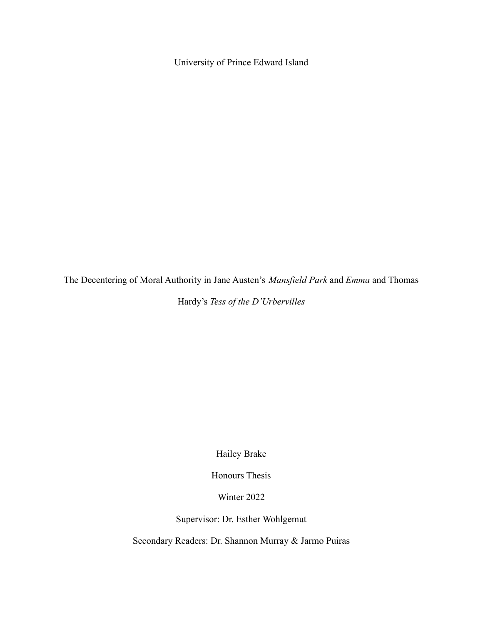University of Prince Edward Island

The Decentering of Moral Authority in Jane Austen's *Mansfield Park* and *Emma* and Thomas

Hardy's *Tess of the D'Urbervilles*

Hailey Brake

Honours Thesis

Winter 2022

Supervisor: Dr. Esther Wohlgemut

Secondary Readers: Dr. Shannon Murray & Jarmo Puiras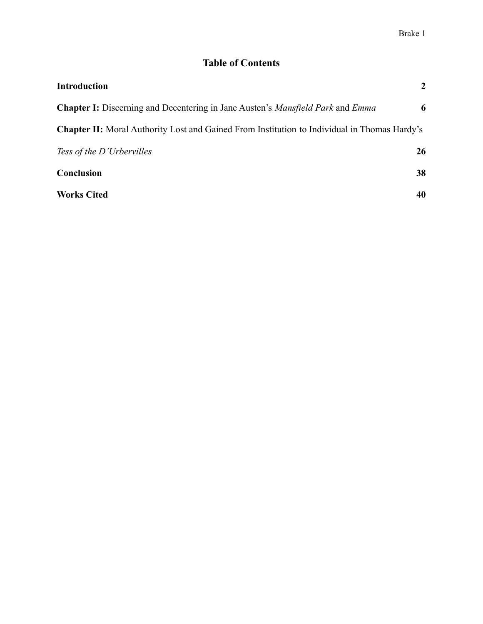# **Table of Contents**

| <b>Introduction</b>                                                                                 | $\overline{2}$ |
|-----------------------------------------------------------------------------------------------------|----------------|
| <b>Chapter I:</b> Discerning and Decentering in Jane Austen's <i>Mansfield Park</i> and <i>Emma</i> | 6              |
| <b>Chapter II:</b> Moral Authority Lost and Gained From Institution to Individual in Thomas Hardy's |                |
| Tess of the D'Urbervilles                                                                           | 26             |
| Conclusion                                                                                          | 38             |
| <b>Works Cited</b>                                                                                  | 40             |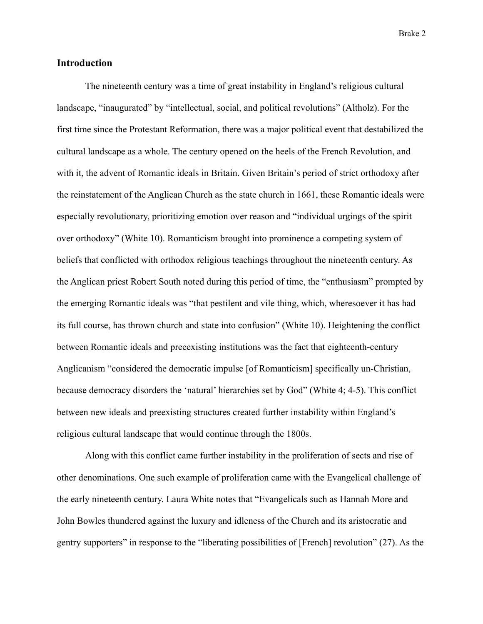### **Introduction**

The nineteenth century was a time of great instability in England's religious cultural landscape, "inaugurated" by "intellectual, social, and political revolutions" (Altholz). For the first time since the Protestant Reformation, there was a major political event that destabilized the cultural landscape as a whole. The century opened on the heels of the French Revolution, and with it, the advent of Romantic ideals in Britain. Given Britain's period of strict orthodoxy after the reinstatement of the Anglican Church as the state church in 1661, these Romantic ideals were especially revolutionary, prioritizing emotion over reason and "individual urgings of the spirit over orthodoxy" (White 10). Romanticism brought into prominence a competing system of beliefs that conflicted with orthodox religious teachings throughout the nineteenth century. As the Anglican priest Robert South noted during this period of time, the "enthusiasm" prompted by the emerging Romantic ideals was "that pestilent and vile thing, which, wheresoever it has had its full course, has thrown church and state into confusion" (White 10). Heightening the conflict between Romantic ideals and preeexisting institutions was the fact that eighteenth-century Anglicanism "considered the democratic impulse [of Romanticism] specifically un-Christian, because democracy disorders the 'natural' hierarchies set by God" (White 4; 4-5). This conflict between new ideals and preexisting structures created further instability within England's religious cultural landscape that would continue through the 1800s.

Along with this conflict came further instability in the proliferation of sects and rise of other denominations. One such example of proliferation came with the Evangelical challenge of the early nineteenth century. Laura White notes that "Evangelicals such as Hannah More and John Bowles thundered against the luxury and idleness of the Church and its aristocratic and gentry supporters" in response to the "liberating possibilities of [French] revolution" (27). As the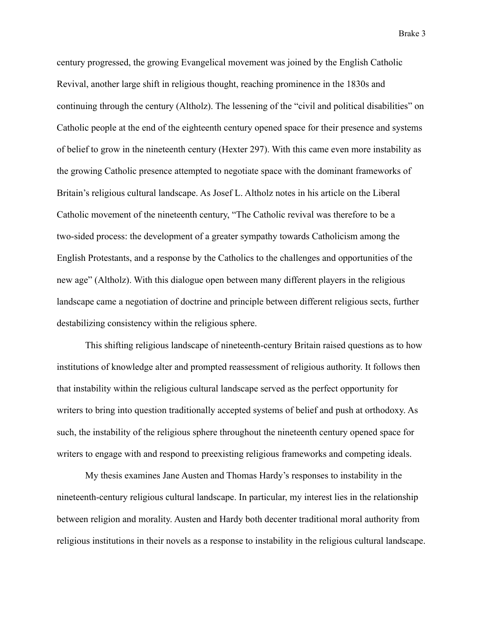century progressed, the growing Evangelical movement was joined by the English Catholic Revival, another large shift in religious thought, reaching prominence in the 1830s and continuing through the century (Altholz). The lessening of the "civil and political disabilities" on Catholic people at the end of the eighteenth century opened space for their presence and systems of belief to grow in the nineteenth century (Hexter 297). With this came even more instability as the growing Catholic presence attempted to negotiate space with the dominant frameworks of Britain's religious cultural landscape. As Josef L. Altholz notes in his article on the Liberal Catholic movement of the nineteenth century, "The Catholic revival was therefore to be a two-sided process: the development of a greater sympathy towards Catholicism among the English Protestants, and a response by the Catholics to the challenges and opportunities of the new age" (Altholz). With this dialogue open between many different players in the religious landscape came a negotiation of doctrine and principle between different religious sects, further destabilizing consistency within the religious sphere.

This shifting religious landscape of nineteenth-century Britain raised questions as to how institutions of knowledge alter and prompted reassessment of religious authority. It follows then that instability within the religious cultural landscape served as the perfect opportunity for writers to bring into question traditionally accepted systems of belief and push at orthodoxy. As such, the instability of the religious sphere throughout the nineteenth century opened space for writers to engage with and respond to preexisting religious frameworks and competing ideals.

My thesis examines Jane Austen and Thomas Hardy's responses to instability in the nineteenth-century religious cultural landscape. In particular, my interest lies in the relationship between religion and morality. Austen and Hardy both decenter traditional moral authority from religious institutions in their novels as a response to instability in the religious cultural landscape.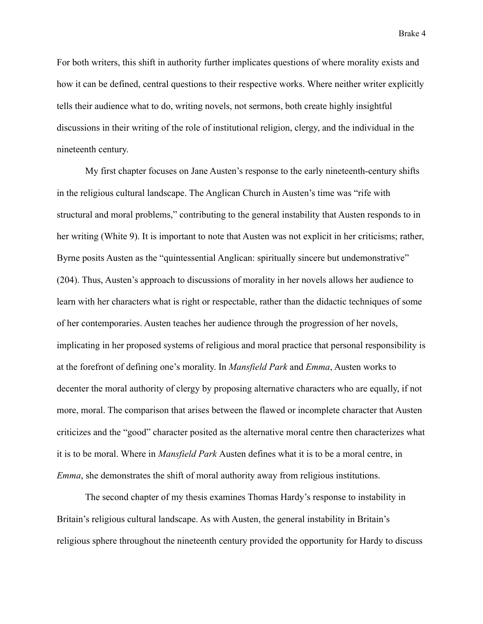For both writers, this shift in authority further implicates questions of where morality exists and how it can be defined, central questions to their respective works. Where neither writer explicitly tells their audience what to do, writing novels, not sermons, both create highly insightful discussions in their writing of the role of institutional religion, clergy, and the individual in the nineteenth century.

My first chapter focuses on Jane Austen's response to the early nineteenth-century shifts in the religious cultural landscape. The Anglican Church in Austen's time was "rife with structural and moral problems," contributing to the general instability that Austen responds to in her writing (White 9). It is important to note that Austen was not explicit in her criticisms; rather, Byrne posits Austen as the "quintessential Anglican: spiritually sincere but undemonstrative" (204). Thus, Austen's approach to discussions of morality in her novels allows her audience to learn with her characters what is right or respectable, rather than the didactic techniques of some of her contemporaries. Austen teaches her audience through the progression of her novels, implicating in her proposed systems of religious and moral practice that personal responsibility is at the forefront of defining one's morality. In *Mansfield Park* and *Emma*, Austen works to decenter the moral authority of clergy by proposing alternative characters who are equally, if not more, moral. The comparison that arises between the flawed or incomplete character that Austen criticizes and the "good" character posited as the alternative moral centre then characterizes what it is to be moral. Where in *Mansfield Park* Austen defines what it is to be a moral centre, in *Emma*, she demonstrates the shift of moral authority away from religious institutions.

The second chapter of my thesis examines Thomas Hardy's response to instability in Britain's religious cultural landscape. As with Austen, the general instability in Britain's religious sphere throughout the nineteenth century provided the opportunity for Hardy to discuss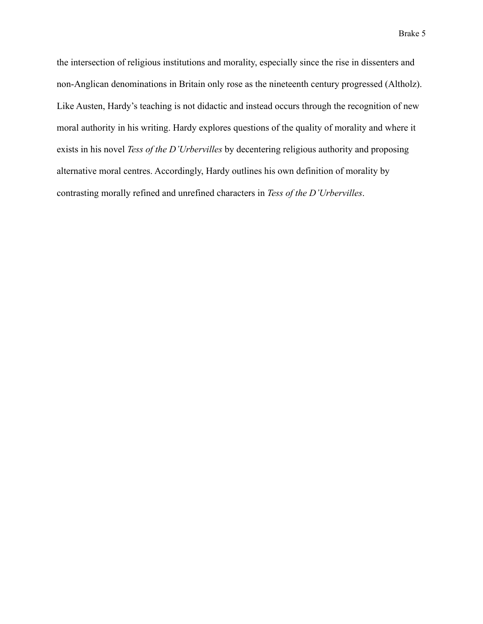the intersection of religious institutions and morality, especially since the rise in dissenters and non-Anglican denominations in Britain only rose as the nineteenth century progressed (Altholz). Like Austen, Hardy's teaching is not didactic and instead occurs through the recognition of new moral authority in his writing. Hardy explores questions of the quality of morality and where it exists in his novel *Tess of the D'Urbervilles* by decentering religious authority and proposing alternative moral centres. Accordingly, Hardy outlines his own definition of morality by contrasting morally refined and unrefined characters in *Tess of the D'Urbervilles*.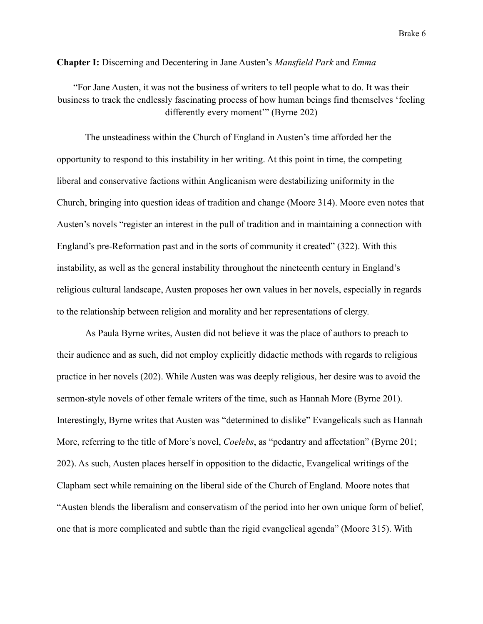### **Chapter I:** Discerning and Decentering in Jane Austen's *Mansfield Park* and *Emma*

"For Jane Austen, it was not the business of writers to tell people what to do. It was their business to track the endlessly fascinating process of how human beings find themselves 'feeling differently every moment'" (Byrne 202)

The unsteadiness within the Church of England in Austen's time afforded her the opportunity to respond to this instability in her writing. At this point in time, the competing liberal and conservative factions within Anglicanism were destabilizing uniformity in the Church, bringing into question ideas of tradition and change (Moore 314). Moore even notes that Austen's novels "register an interest in the pull of tradition and in maintaining a connection with England's pre-Reformation past and in the sorts of community it created" (322). With this instability, as well as the general instability throughout the nineteenth century in England's religious cultural landscape, Austen proposes her own values in her novels, especially in regards to the relationship between religion and morality and her representations of clergy.

As Paula Byrne writes, Austen did not believe it was the place of authors to preach to their audience and as such, did not employ explicitly didactic methods with regards to religious practice in her novels (202). While Austen was was deeply religious, her desire was to avoid the sermon-style novels of other female writers of the time, such as Hannah More (Byrne 201). Interestingly, Byrne writes that Austen was "determined to dislike" Evangelicals such as Hannah More, referring to the title of More's novel, *Coelebs*, as "pedantry and affectation" (Byrne 201; 202). As such, Austen places herself in opposition to the didactic, Evangelical writings of the Clapham sect while remaining on the liberal side of the Church of England. Moore notes that "Austen blends the liberalism and conservatism of the period into her own unique form of belief, one that is more complicated and subtle than the rigid evangelical agenda" (Moore 315). With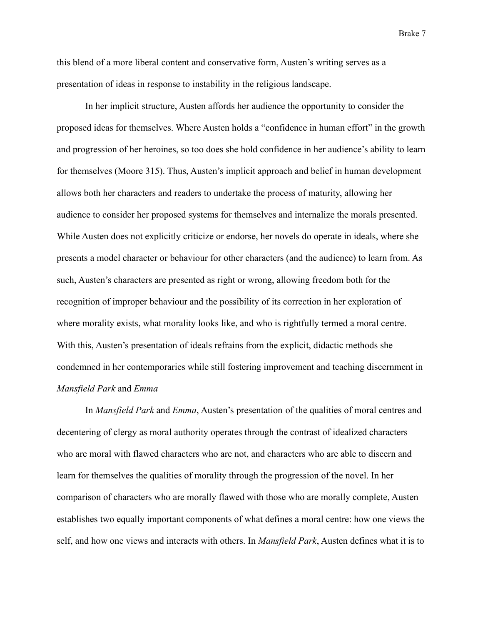this blend of a more liberal content and conservative form, Austen's writing serves as a presentation of ideas in response to instability in the religious landscape.

In her implicit structure, Austen affords her audience the opportunity to consider the proposed ideas for themselves. Where Austen holds a "confidence in human effort" in the growth and progression of her heroines, so too does she hold confidence in her audience's ability to learn for themselves (Moore 315). Thus, Austen's implicit approach and belief in human development allows both her characters and readers to undertake the process of maturity, allowing her audience to consider her proposed systems for themselves and internalize the morals presented. While Austen does not explicitly criticize or endorse, her novels do operate in ideals, where she presents a model character or behaviour for other characters (and the audience) to learn from. As such, Austen's characters are presented as right or wrong, allowing freedom both for the recognition of improper behaviour and the possibility of its correction in her exploration of where morality exists, what morality looks like, and who is rightfully termed a moral centre. With this, Austen's presentation of ideals refrains from the explicit, didactic methods she condemned in her contemporaries while still fostering improvement and teaching discernment in *Mansfield Park* and *Emma*

In *Mansfield Park* and *Emma*, Austen's presentation of the qualities of moral centres and decentering of clergy as moral authority operates through the contrast of idealized characters who are moral with flawed characters who are not, and characters who are able to discern and learn for themselves the qualities of morality through the progression of the novel. In her comparison of characters who are morally flawed with those who are morally complete, Austen establishes two equally important components of what defines a moral centre: how one views the self, and how one views and interacts with others. In *Mansfield Park*, Austen defines what it is to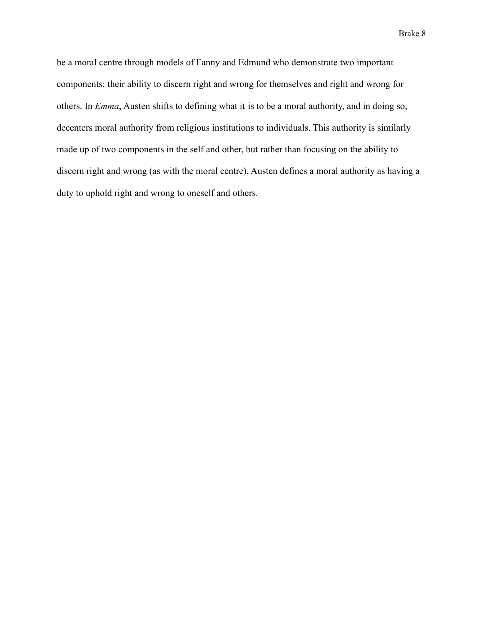be a moral centre through models of Fanny and Edmund who demonstrate two important components: their ability to discern right and wrong for themselves and right and wrong for others. In *Emma*, Austen shifts to defining what it is to be a moral authority, and in doing so, decenters moral authority from religious institutions to individuals. This authority is similarly made up of two components in the self and other, but rather than focusing on the ability to discern right and wrong (as with the moral centre), Austen defines a moral authority as having a duty to uphold right and wrong to oneself and others.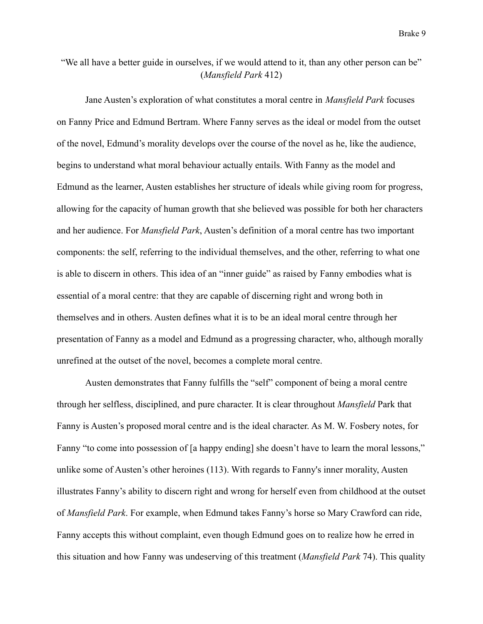## "We all have a better guide in ourselves, if we would attend to it, than any other person can be" (*Mansfield Park* 412)

Jane Austen's exploration of what constitutes a moral centre in *Mansfield Park* focuses on Fanny Price and Edmund Bertram. Where Fanny serves as the ideal or model from the outset of the novel, Edmund's morality develops over the course of the novel as he, like the audience, begins to understand what moral behaviour actually entails. With Fanny as the model and Edmund as the learner, Austen establishes her structure of ideals while giving room for progress, allowing for the capacity of human growth that she believed was possible for both her characters and her audience. For *Mansfield Park*, Austen's definition of a moral centre has two important components: the self, referring to the individual themselves, and the other, referring to what one is able to discern in others. This idea of an "inner guide" as raised by Fanny embodies what is essential of a moral centre: that they are capable of discerning right and wrong both in themselves and in others. Austen defines what it is to be an ideal moral centre through her presentation of Fanny as a model and Edmund as a progressing character, who, although morally unrefined at the outset of the novel, becomes a complete moral centre.

Austen demonstrates that Fanny fulfills the "self" component of being a moral centre through her selfless, disciplined, and pure character. It is clear throughout *Mansfield* Park that Fanny is Austen's proposed moral centre and is the ideal character. As M. W. Fosbery notes, for Fanny "to come into possession of [a happy ending] she doesn't have to learn the moral lessons," unlike some of Austen's other heroines (113). With regards to Fanny's inner morality, Austen illustrates Fanny's ability to discern right and wrong for herself even from childhood at the outset of *Mansfield Park*. For example, when Edmund takes Fanny's horse so Mary Crawford can ride, Fanny accepts this without complaint, even though Edmund goes on to realize how he erred in this situation and how Fanny was undeserving of this treatment (*Mansfield Park* 74). This quality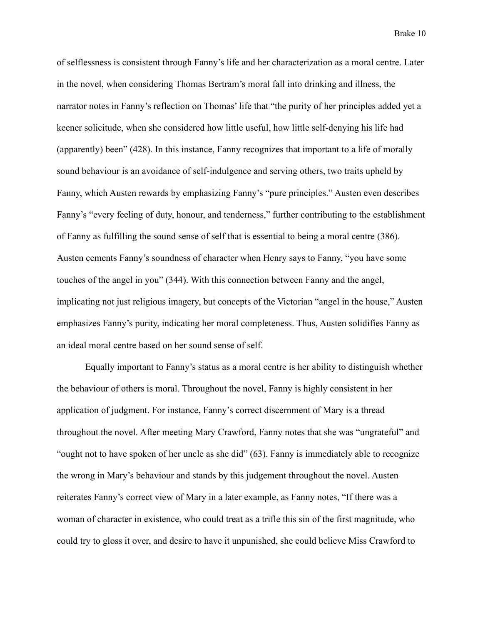of selflessness is consistent through Fanny's life and her characterization as a moral centre. Later in the novel, when considering Thomas Bertram's moral fall into drinking and illness, the narrator notes in Fanny's reflection on Thomas' life that "the purity of her principles added yet a keener solicitude, when she considered how little useful, how little self-denying his life had (apparently) been" (428). In this instance, Fanny recognizes that important to a life of morally sound behaviour is an avoidance of self-indulgence and serving others, two traits upheld by Fanny, which Austen rewards by emphasizing Fanny's "pure principles." Austen even describes Fanny's "every feeling of duty, honour, and tenderness," further contributing to the establishment of Fanny as fulfilling the sound sense of self that is essential to being a moral centre (386). Austen cements Fanny's soundness of character when Henry says to Fanny, "you have some touches of the angel in you" (344). With this connection between Fanny and the angel, implicating not just religious imagery, but concepts of the Victorian "angel in the house," Austen emphasizes Fanny's purity, indicating her moral completeness. Thus, Austen solidifies Fanny as an ideal moral centre based on her sound sense of self.

Equally important to Fanny's status as a moral centre is her ability to distinguish whether the behaviour of others is moral. Throughout the novel, Fanny is highly consistent in her application of judgment. For instance, Fanny's correct discernment of Mary is a thread throughout the novel. After meeting Mary Crawford, Fanny notes that she was "ungrateful" and "ought not to have spoken of her uncle as she did" (63). Fanny is immediately able to recognize the wrong in Mary's behaviour and stands by this judgement throughout the novel. Austen reiterates Fanny's correct view of Mary in a later example, as Fanny notes, "If there was a woman of character in existence, who could treat as a trifle this sin of the first magnitude, who could try to gloss it over, and desire to have it unpunished, she could believe Miss Crawford to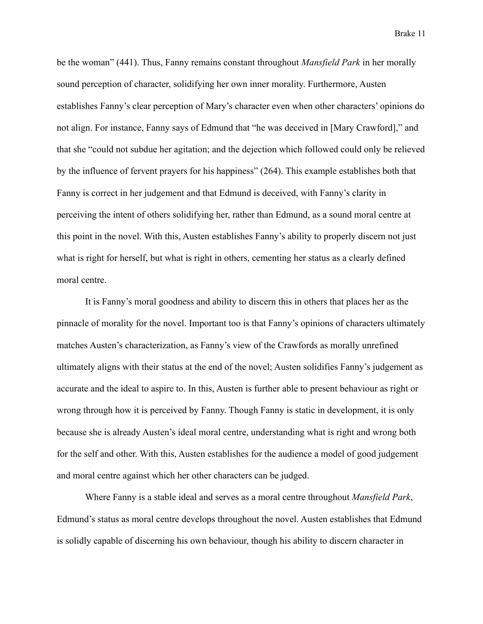be the woman" (441). Thus, Fanny remains constant throughout *Mansfield Park* in her morally sound perception of character, solidifying her own inner morality. Furthermore, Austen establishes Fanny's clear perception of Mary's character even when other characters' opinions do not align. For instance, Fanny says of Edmund that "he was deceived in [Mary Crawford]," and that she "could not subdue her agitation; and the dejection which followed could only be relieved by the influence of fervent prayers for his happiness" (264). This example establishes both that Fanny is correct in her judgement and that Edmund is deceived, with Fanny's clarity in perceiving the intent of others solidifying her, rather than Edmund, as a sound moral centre at this point in the novel. With this, Austen establishes Fanny's ability to properly discern not just what is right for herself, but what is right in others, cementing her status as a clearly defined moral centre.

It is Fanny's moral goodness and ability to discern this in others that places her as the pinnacle of morality for the novel. Important too is that Fanny's opinions of characters ultimately matches Austen's characterization, as Fanny's view of the Crawfords as morally unrefined ultimately aligns with their status at the end of the novel; Austen solidifies Fanny's judgement as accurate and the ideal to aspire to. In this, Austen is further able to present behaviour as right or wrong through how it is perceived by Fanny. Though Fanny is static in development, it is only because she is already Austen's ideal moral centre, understanding what is right and wrong both for the self and other. With this, Austen establishes for the audience a model of good judgement and moral centre against which her other characters can be judged.

Where Fanny is a stable ideal and serves as a moral centre throughout *Mansfield Park*, Edmund's status as moral centre develops throughout the novel. Austen establishes that Edmund is solidly capable of discerning his own behaviour, though his ability to discern character in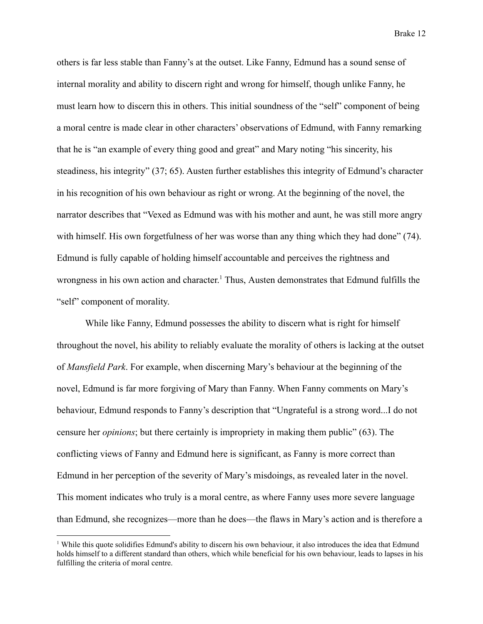others is far less stable than Fanny's at the outset. Like Fanny, Edmund has a sound sense of internal morality and ability to discern right and wrong for himself, though unlike Fanny, he must learn how to discern this in others. This initial soundness of the "self" component of being a moral centre is made clear in other characters' observations of Edmund, with Fanny remarking that he is "an example of every thing good and great" and Mary noting "his sincerity, his steadiness, his integrity" (37; 65). Austen further establishes this integrity of Edmund's character in his recognition of his own behaviour as right or wrong. At the beginning of the novel, the narrator describes that "Vexed as Edmund was with his mother and aunt, he was still more angry with himself. His own forgetfulness of her was worse than any thing which they had done" (74). Edmund is fully capable of holding himself accountable and perceives the rightness and wrongness in his own action and character. <sup>1</sup> Thus, Austen demonstrates that Edmund fulfills the "self" component of morality.

While like Fanny, Edmund possesses the ability to discern what is right for himself throughout the novel, his ability to reliably evaluate the morality of others is lacking at the outset of *Mansfield Park*. For example, when discerning Mary's behaviour at the beginning of the novel, Edmund is far more forgiving of Mary than Fanny. When Fanny comments on Mary's behaviour, Edmund responds to Fanny's description that "Ungrateful is a strong word...I do not censure her *opinions*; but there certainly is impropriety in making them public" (63). The conflicting views of Fanny and Edmund here is significant, as Fanny is more correct than Edmund in her perception of the severity of Mary's misdoings, as revealed later in the novel. This moment indicates who truly is a moral centre, as where Fanny uses more severe language than Edmund, she recognizes—more than he does—the flaws in Mary's action and is therefore a

<sup>&</sup>lt;sup>1</sup> While this quote solidifies Edmund's ability to discern his own behaviour, it also introduces the idea that Edmund holds himself to a different standard than others, which while beneficial for his own behaviour, leads to lapses in his fulfilling the criteria of moral centre.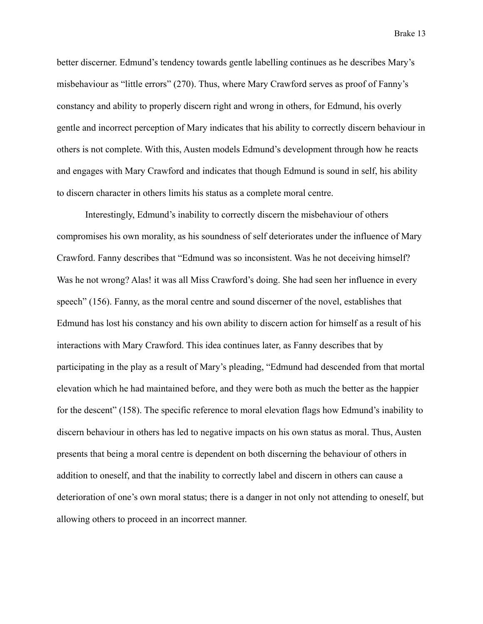better discerner. Edmund's tendency towards gentle labelling continues as he describes Mary's misbehaviour as "little errors" (270). Thus, where Mary Crawford serves as proof of Fanny's constancy and ability to properly discern right and wrong in others, for Edmund, his overly gentle and incorrect perception of Mary indicates that his ability to correctly discern behaviour in others is not complete. With this, Austen models Edmund's development through how he reacts and engages with Mary Crawford and indicates that though Edmund is sound in self, his ability to discern character in others limits his status as a complete moral centre.

Interestingly, Edmund's inability to correctly discern the misbehaviour of others compromises his own morality, as his soundness of self deteriorates under the influence of Mary Crawford. Fanny describes that "Edmund was so inconsistent. Was he not deceiving himself? Was he not wrong? Alas! it was all Miss Crawford's doing. She had seen her influence in every speech" (156). Fanny, as the moral centre and sound discerner of the novel, establishes that Edmund has lost his constancy and his own ability to discern action for himself as a result of his interactions with Mary Crawford. This idea continues later, as Fanny describes that by participating in the play as a result of Mary's pleading, "Edmund had descended from that mortal elevation which he had maintained before, and they were both as much the better as the happier for the descent" (158). The specific reference to moral elevation flags how Edmund's inability to discern behaviour in others has led to negative impacts on his own status as moral. Thus, Austen presents that being a moral centre is dependent on both discerning the behaviour of others in addition to oneself, and that the inability to correctly label and discern in others can cause a deterioration of one's own moral status; there is a danger in not only not attending to oneself, but allowing others to proceed in an incorrect manner.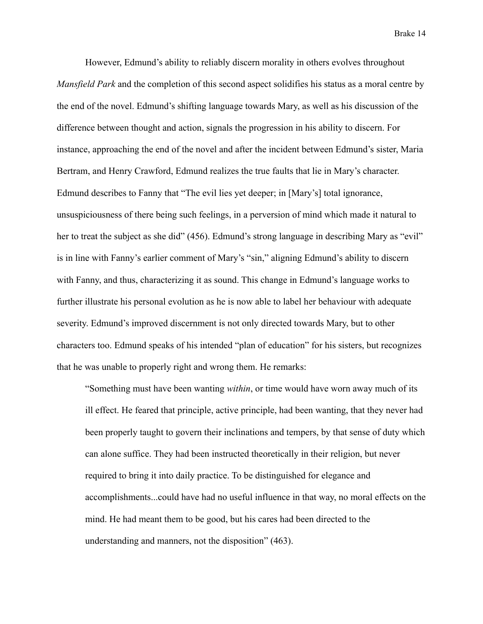However, Edmund's ability to reliably discern morality in others evolves throughout *Mansfield Park* and the completion of this second aspect solidifies his status as a moral centre by the end of the novel. Edmund's shifting language towards Mary, as well as his discussion of the difference between thought and action, signals the progression in his ability to discern. For instance, approaching the end of the novel and after the incident between Edmund's sister, Maria Bertram, and Henry Crawford, Edmund realizes the true faults that lie in Mary's character. Edmund describes to Fanny that "The evil lies yet deeper; in [Mary's] total ignorance, unsuspiciousness of there being such feelings, in a perversion of mind which made it natural to her to treat the subject as she did" (456). Edmund's strong language in describing Mary as "evil" is in line with Fanny's earlier comment of Mary's "sin," aligning Edmund's ability to discern with Fanny, and thus, characterizing it as sound. This change in Edmund's language works to further illustrate his personal evolution as he is now able to label her behaviour with adequate severity. Edmund's improved discernment is not only directed towards Mary, but to other characters too. Edmund speaks of his intended "plan of education" for his sisters, but recognizes that he was unable to properly right and wrong them. He remarks:

"Something must have been wanting *within*, or time would have worn away much of its ill effect. He feared that principle, active principle, had been wanting, that they never had been properly taught to govern their inclinations and tempers, by that sense of duty which can alone suffice. They had been instructed theoretically in their religion, but never required to bring it into daily practice. To be distinguished for elegance and accomplishments...could have had no useful influence in that way, no moral effects on the mind. He had meant them to be good, but his cares had been directed to the understanding and manners, not the disposition" (463).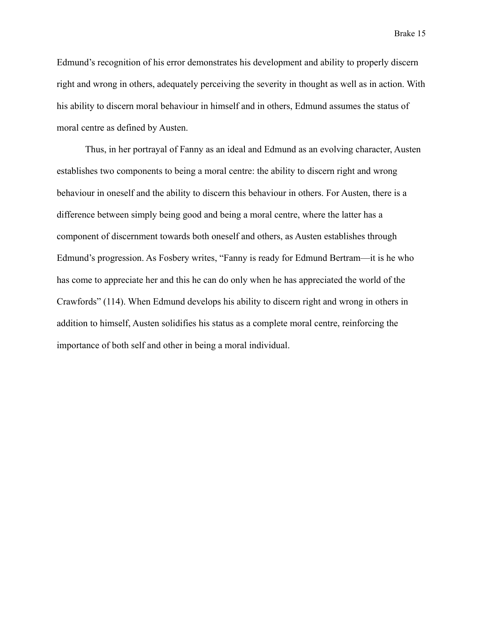Edmund's recognition of his error demonstrates his development and ability to properly discern right and wrong in others, adequately perceiving the severity in thought as well as in action. With his ability to discern moral behaviour in himself and in others, Edmund assumes the status of moral centre as defined by Austen.

Thus, in her portrayal of Fanny as an ideal and Edmund as an evolving character, Austen establishes two components to being a moral centre: the ability to discern right and wrong behaviour in oneself and the ability to discern this behaviour in others. For Austen, there is a difference between simply being good and being a moral centre, where the latter has a component of discernment towards both oneself and others, as Austen establishes through Edmund's progression. As Fosbery writes, "Fanny is ready for Edmund Bertram—it is he who has come to appreciate her and this he can do only when he has appreciated the world of the Crawfords" (114). When Edmund develops his ability to discern right and wrong in others in addition to himself, Austen solidifies his status as a complete moral centre, reinforcing the importance of both self and other in being a moral individual.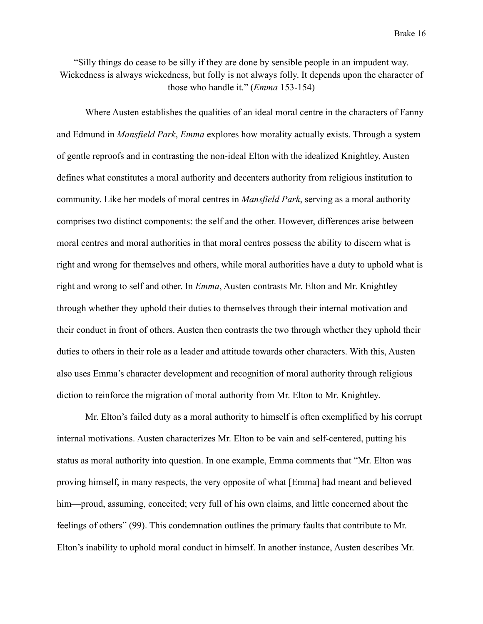"Silly things do cease to be silly if they are done by sensible people in an impudent way. Wickedness is always wickedness, but folly is not always folly. It depends upon the character of those who handle it." (*Emma* 153-154)

Where Austen establishes the qualities of an ideal moral centre in the characters of Fanny and Edmund in *Mansfield Park*, *Emma* explores how morality actually exists. Through a system of gentle reproofs and in contrasting the non-ideal Elton with the idealized Knightley, Austen defines what constitutes a moral authority and decenters authority from religious institution to community. Like her models of moral centres in *Mansfield Park*, serving as a moral authority comprises two distinct components: the self and the other. However, differences arise between moral centres and moral authorities in that moral centres possess the ability to discern what is right and wrong for themselves and others, while moral authorities have a duty to uphold what is right and wrong to self and other. In *Emma*, Austen contrasts Mr. Elton and Mr. Knightley through whether they uphold their duties to themselves through their internal motivation and their conduct in front of others. Austen then contrasts the two through whether they uphold their duties to others in their role as a leader and attitude towards other characters. With this, Austen also uses Emma's character development and recognition of moral authority through religious diction to reinforce the migration of moral authority from Mr. Elton to Mr. Knightley.

Mr. Elton's failed duty as a moral authority to himself is often exemplified by his corrupt internal motivations. Austen characterizes Mr. Elton to be vain and self-centered, putting his status as moral authority into question. In one example, Emma comments that "Mr. Elton was proving himself, in many respects, the very opposite of what [Emma] had meant and believed him—proud, assuming, conceited; very full of his own claims, and little concerned about the feelings of others" (99). This condemnation outlines the primary faults that contribute to Mr. Elton's inability to uphold moral conduct in himself. In another instance, Austen describes Mr.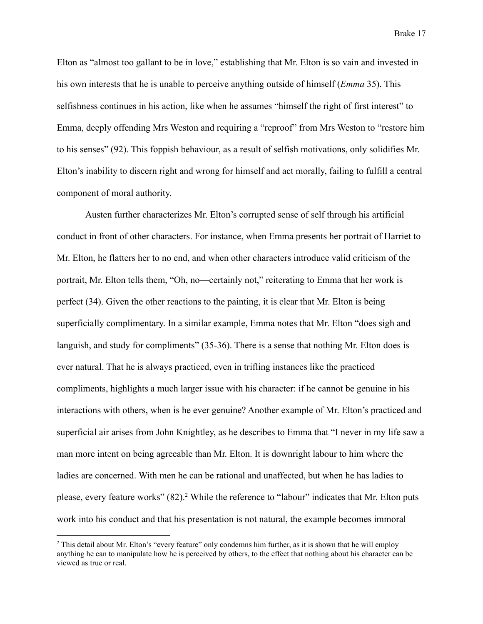Elton as "almost too gallant to be in love," establishing that Mr. Elton is so vain and invested in his own interests that he is unable to perceive anything outside of himself (*Emma* 35). This selfishness continues in his action, like when he assumes "himself the right of first interest" to Emma, deeply offending Mrs Weston and requiring a "reproof" from Mrs Weston to "restore him to his senses" (92). This foppish behaviour, as a result of selfish motivations, only solidifies Mr. Elton's inability to discern right and wrong for himself and act morally, failing to fulfill a central component of moral authority.

Austen further characterizes Mr. Elton's corrupted sense of self through his artificial conduct in front of other characters. For instance, when Emma presents her portrait of Harriet to Mr. Elton, he flatters her to no end, and when other characters introduce valid criticism of the portrait, Mr. Elton tells them, "Oh, no—certainly not," reiterating to Emma that her work is perfect (34). Given the other reactions to the painting, it is clear that Mr. Elton is being superficially complimentary. In a similar example, Emma notes that Mr. Elton "does sigh and languish, and study for compliments" (35-36). There is a sense that nothing Mr. Elton does is ever natural. That he is always practiced, even in trifling instances like the practiced compliments, highlights a much larger issue with his character: if he cannot be genuine in his interactions with others, when is he ever genuine? Another example of Mr. Elton's practiced and superficial air arises from John Knightley, as he describes to Emma that "I never in my life saw a man more intent on being agreeable than Mr. Elton. It is downright labour to him where the ladies are concerned. With men he can be rational and unaffected, but when he has ladies to please, every feature works" (82).<sup>2</sup> While the reference to "labour" indicates that Mr. Elton puts work into his conduct and that his presentation is not natural, the example becomes immoral

<sup>&</sup>lt;sup>2</sup> This detail about Mr. Elton's "every feature" only condemns him further, as it is shown that he will employ anything he can to manipulate how he is perceived by others, to the effect that nothing about his character can be viewed as true or real.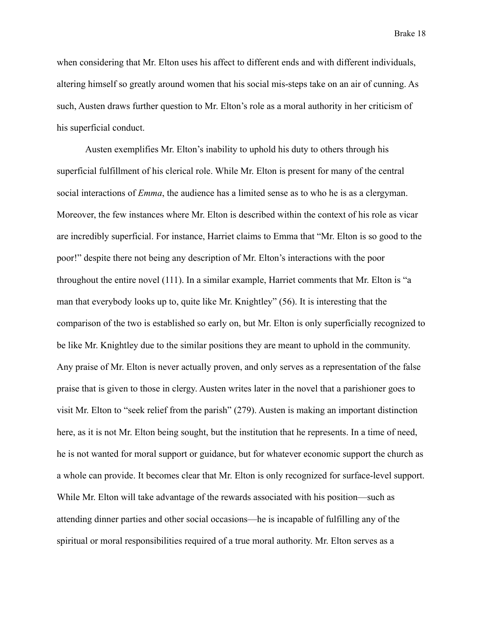when considering that Mr. Elton uses his affect to different ends and with different individuals, altering himself so greatly around women that his social mis-steps take on an air of cunning. As such, Austen draws further question to Mr. Elton's role as a moral authority in her criticism of his superficial conduct.

Austen exemplifies Mr. Elton's inability to uphold his duty to others through his superficial fulfillment of his clerical role. While Mr. Elton is present for many of the central social interactions of *Emma*, the audience has a limited sense as to who he is as a clergyman. Moreover, the few instances where Mr. Elton is described within the context of his role as vicar are incredibly superficial. For instance, Harriet claims to Emma that "Mr. Elton is so good to the poor!" despite there not being any description of Mr. Elton's interactions with the poor throughout the entire novel (111). In a similar example, Harriet comments that Mr. Elton is "a man that everybody looks up to, quite like Mr. Knightley" (56). It is interesting that the comparison of the two is established so early on, but Mr. Elton is only superficially recognized to be like Mr. Knightley due to the similar positions they are meant to uphold in the community. Any praise of Mr. Elton is never actually proven, and only serves as a representation of the false praise that is given to those in clergy. Austen writes later in the novel that a parishioner goes to visit Mr. Elton to "seek relief from the parish" (279). Austen is making an important distinction here, as it is not Mr. Elton being sought, but the institution that he represents. In a time of need, he is not wanted for moral support or guidance, but for whatever economic support the church as a whole can provide. It becomes clear that Mr. Elton is only recognized for surface-level support. While Mr. Elton will take advantage of the rewards associated with his position—such as attending dinner parties and other social occasions—he is incapable of fulfilling any of the spiritual or moral responsibilities required of a true moral authority. Mr. Elton serves as a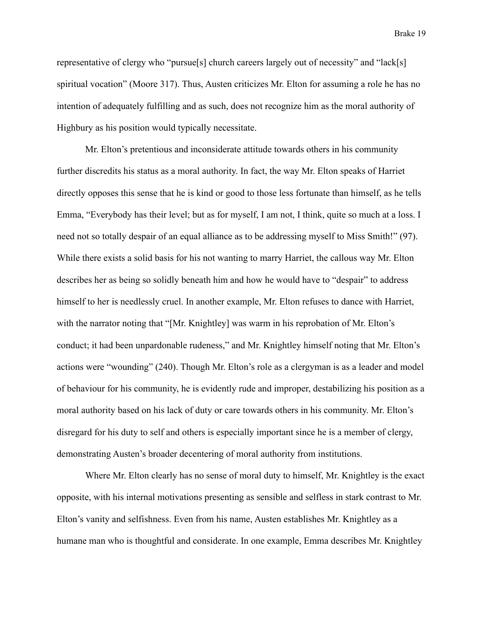representative of clergy who "pursue[s] church careers largely out of necessity" and "lack[s] spiritual vocation" (Moore 317). Thus, Austen criticizes Mr. Elton for assuming a role he has no intention of adequately fulfilling and as such, does not recognize him as the moral authority of Highbury as his position would typically necessitate.

Mr. Elton's pretentious and inconsiderate attitude towards others in his community further discredits his status as a moral authority. In fact, the way Mr. Elton speaks of Harriet directly opposes this sense that he is kind or good to those less fortunate than himself, as he tells Emma, "Everybody has their level; but as for myself, I am not, I think, quite so much at a loss. I need not so totally despair of an equal alliance as to be addressing myself to Miss Smith!" (97). While there exists a solid basis for his not wanting to marry Harriet, the callous way Mr. Elton describes her as being so solidly beneath him and how he would have to "despair" to address himself to her is needlessly cruel. In another example, Mr. Elton refuses to dance with Harriet, with the narrator noting that "[Mr. Knightley] was warm in his reprobation of Mr. Elton's conduct; it had been unpardonable rudeness," and Mr. Knightley himself noting that Mr. Elton's actions were "wounding" (240). Though Mr. Elton's role as a clergyman is as a leader and model of behaviour for his community, he is evidently rude and improper, destabilizing his position as a moral authority based on his lack of duty or care towards others in his community. Mr. Elton's disregard for his duty to self and others is especially important since he is a member of clergy, demonstrating Austen's broader decentering of moral authority from institutions.

Where Mr. Elton clearly has no sense of moral duty to himself, Mr. Knightley is the exact opposite, with his internal motivations presenting as sensible and selfless in stark contrast to Mr. Elton's vanity and selfishness. Even from his name, Austen establishes Mr. Knightley as a humane man who is thoughtful and considerate. In one example, Emma describes Mr. Knightley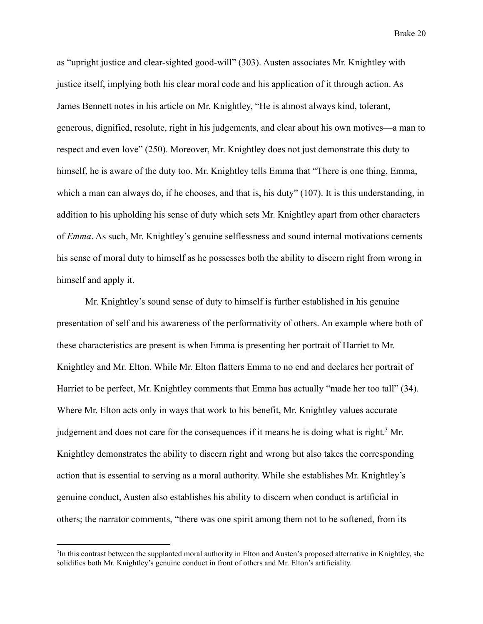as "upright justice and clear-sighted good-will" (303). Austen associates Mr. Knightley with justice itself, implying both his clear moral code and his application of it through action. As James Bennett notes in his article on Mr. Knightley, "He is almost always kind, tolerant, generous, dignified, resolute, right in his judgements, and clear about his own motives—a man to respect and even love" (250). Moreover, Mr. Knightley does not just demonstrate this duty to himself, he is aware of the duty too. Mr. Knightley tells Emma that "There is one thing, Emma, which a man can always do, if he chooses, and that is, his duty" (107). It is this understanding, in addition to his upholding his sense of duty which sets Mr. Knightley apart from other characters of *Emma*. As such, Mr. Knightley's genuine selflessness and sound internal motivations cements his sense of moral duty to himself as he possesses both the ability to discern right from wrong in himself and apply it.

Mr. Knightley's sound sense of duty to himself is further established in his genuine presentation of self and his awareness of the performativity of others. An example where both of these characteristics are present is when Emma is presenting her portrait of Harriet to Mr. Knightley and Mr. Elton. While Mr. Elton flatters Emma to no end and declares her portrait of Harriet to be perfect, Mr. Knightley comments that Emma has actually "made her too tall" (34). Where Mr. Elton acts only in ways that work to his benefit, Mr. Knightley values accurate judgement and does not care for the consequences if it means he is doing what is right.<sup>3</sup> Mr. Knightley demonstrates the ability to discern right and wrong but also takes the corresponding action that is essential to serving as a moral authority. While she establishes Mr. Knightley's genuine conduct, Austen also establishes his ability to discern when conduct is artificial in others; the narrator comments, "there was one spirit among them not to be softened, from its

<sup>&</sup>lt;sup>3</sup>In this contrast between the supplanted moral authority in Elton and Austen's proposed alternative in Knightley, she solidifies both Mr. Knightley's genuine conduct in front of others and Mr. Elton's artificiality.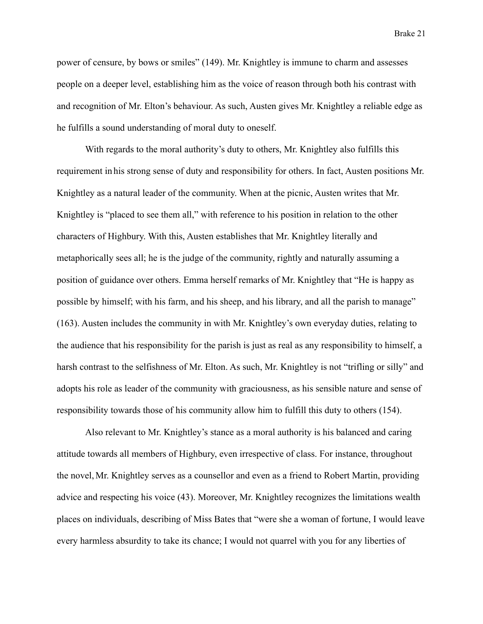power of censure, by bows or smiles" (149). Mr. Knightley is immune to charm and assesses people on a deeper level, establishing him as the voice of reason through both his contrast with and recognition of Mr. Elton's behaviour. As such, Austen gives Mr. Knightley a reliable edge as he fulfills a sound understanding of moral duty to oneself.

With regards to the moral authority's duty to others, Mr. Knightley also fulfills this requirement in his strong sense of duty and responsibility for others. In fact, Austen positions Mr. Knightley as a natural leader of the community. When at the picnic, Austen writes that Mr. Knightley is "placed to see them all," with reference to his position in relation to the other characters of Highbury. With this, Austen establishes that Mr. Knightley literally and metaphorically sees all; he is the judge of the community, rightly and naturally assuming a position of guidance over others. Emma herself remarks of Mr. Knightley that "He is happy as possible by himself; with his farm, and his sheep, and his library, and all the parish to manage" (163). Austen includes the community in with Mr. Knightley's own everyday duties, relating to the audience that his responsibility for the parish is just as real as any responsibility to himself, a harsh contrast to the selfishness of Mr. Elton. As such, Mr. Knightley is not "trifling or silly" and adopts his role as leader of the community with graciousness, as his sensible nature and sense of responsibility towards those of his community allow him to fulfill this duty to others (154).

Also relevant to Mr. Knightley's stance as a moral authority is his balanced and caring attitude towards all members of Highbury, even irrespective of class. For instance, throughout the novel, Mr. Knightley serves as a counsellor and even as a friend to Robert Martin, providing advice and respecting his voice (43). Moreover, Mr. Knightley recognizes the limitations wealth places on individuals, describing of Miss Bates that "were she a woman of fortune, I would leave every harmless absurdity to take its chance; I would not quarrel with you for any liberties of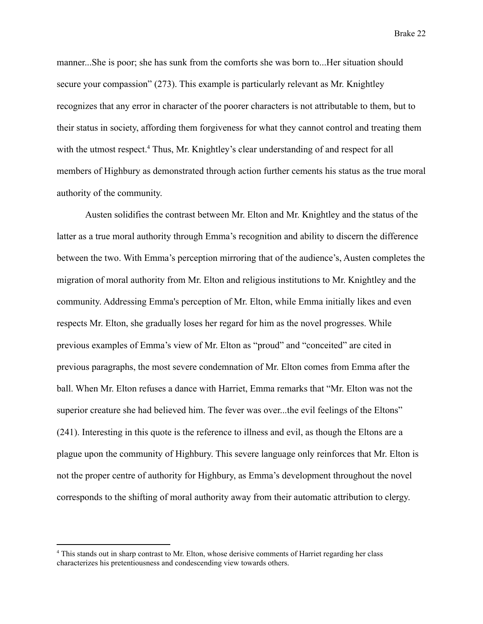manner...She is poor; she has sunk from the comforts she was born to...Her situation should secure your compassion" (273). This example is particularly relevant as Mr. Knightley recognizes that any error in character of the poorer characters is not attributable to them, but to their status in society, affording them forgiveness for what they cannot control and treating them with the utmost respect.<sup>4</sup> Thus, Mr. Knightley's clear understanding of and respect for all members of Highbury as demonstrated through action further cements his status as the true moral authority of the community.

Austen solidifies the contrast between Mr. Elton and Mr. Knightley and the status of the latter as a true moral authority through Emma's recognition and ability to discern the difference between the two. With Emma's perception mirroring that of the audience's, Austen completes the migration of moral authority from Mr. Elton and religious institutions to Mr. Knightley and the community. Addressing Emma's perception of Mr. Elton, while Emma initially likes and even respects Mr. Elton, she gradually loses her regard for him as the novel progresses. While previous examples of Emma's view of Mr. Elton as "proud" and "conceited" are cited in previous paragraphs, the most severe condemnation of Mr. Elton comes from Emma after the ball. When Mr. Elton refuses a dance with Harriet, Emma remarks that "Mr. Elton was not the superior creature she had believed him. The fever was over...the evil feelings of the Eltons" (241). Interesting in this quote is the reference to illness and evil, as though the Eltons are a plague upon the community of Highbury. This severe language only reinforces that Mr. Elton is not the proper centre of authority for Highbury, as Emma's development throughout the novel corresponds to the shifting of moral authority away from their automatic attribution to clergy.

<sup>4</sup> This stands out in sharp contrast to Mr. Elton, whose derisive comments of Harriet regarding her class characterizes his pretentiousness and condescending view towards others.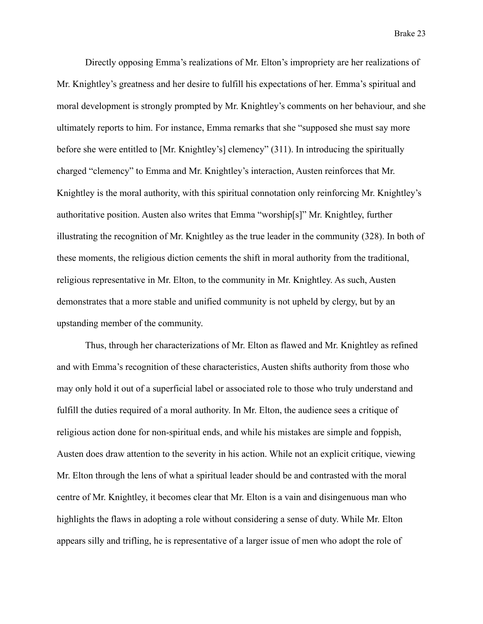Directly opposing Emma's realizations of Mr. Elton's impropriety are her realizations of Mr. Knightley's greatness and her desire to fulfill his expectations of her. Emma's spiritual and moral development is strongly prompted by Mr. Knightley's comments on her behaviour, and she ultimately reports to him. For instance, Emma remarks that she "supposed she must say more before she were entitled to [Mr. Knightley's] clemency" (311). In introducing the spiritually charged "clemency" to Emma and Mr. Knightley's interaction, Austen reinforces that Mr. Knightley is the moral authority, with this spiritual connotation only reinforcing Mr. Knightley's authoritative position. Austen also writes that Emma "worship[s]" Mr. Knightley, further illustrating the recognition of Mr. Knightley as the true leader in the community (328). In both of these moments, the religious diction cements the shift in moral authority from the traditional, religious representative in Mr. Elton, to the community in Mr. Knightley. As such, Austen demonstrates that a more stable and unified community is not upheld by clergy, but by an upstanding member of the community.

Thus, through her characterizations of Mr. Elton as flawed and Mr. Knightley as refined and with Emma's recognition of these characteristics, Austen shifts authority from those who may only hold it out of a superficial label or associated role to those who truly understand and fulfill the duties required of a moral authority. In Mr. Elton, the audience sees a critique of religious action done for non-spiritual ends, and while his mistakes are simple and foppish, Austen does draw attention to the severity in his action. While not an explicit critique, viewing Mr. Elton through the lens of what a spiritual leader should be and contrasted with the moral centre of Mr. Knightley, it becomes clear that Mr. Elton is a vain and disingenuous man who highlights the flaws in adopting a role without considering a sense of duty. While Mr. Elton appears silly and trifling, he is representative of a larger issue of men who adopt the role of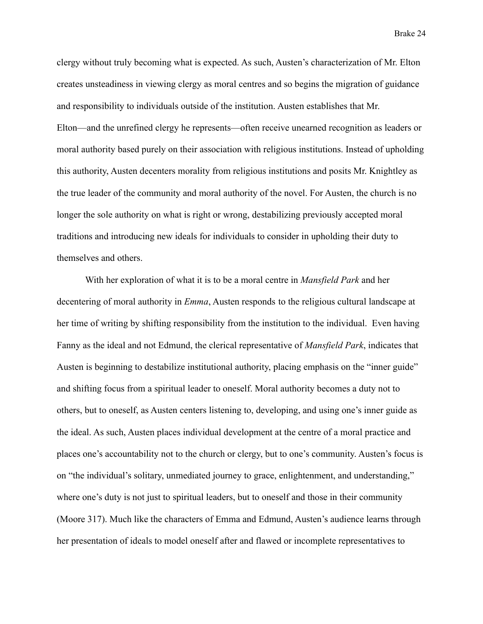clergy without truly becoming what is expected. As such, Austen's characterization of Mr. Elton creates unsteadiness in viewing clergy as moral centres and so begins the migration of guidance and responsibility to individuals outside of the institution. Austen establishes that Mr. Elton—and the unrefined clergy he represents—often receive unearned recognition as leaders or moral authority based purely on their association with religious institutions. Instead of upholding this authority, Austen decenters morality from religious institutions and posits Mr. Knightley as the true leader of the community and moral authority of the novel. For Austen, the church is no longer the sole authority on what is right or wrong, destabilizing previously accepted moral traditions and introducing new ideals for individuals to consider in upholding their duty to themselves and others.

With her exploration of what it is to be a moral centre in *Mansfield Park* and her decentering of moral authority in *Emma*, Austen responds to the religious cultural landscape at her time of writing by shifting responsibility from the institution to the individual. Even having Fanny as the ideal and not Edmund, the clerical representative of *Mansfield Park*, indicates that Austen is beginning to destabilize institutional authority, placing emphasis on the "inner guide" and shifting focus from a spiritual leader to oneself. Moral authority becomes a duty not to others, but to oneself, as Austen centers listening to, developing, and using one's inner guide as the ideal. As such, Austen places individual development at the centre of a moral practice and places one's accountability not to the church or clergy, but to one's community. Austen's focus is on "the individual's solitary, unmediated journey to grace, enlightenment, and understanding," where one's duty is not just to spiritual leaders, but to oneself and those in their community (Moore 317). Much like the characters of Emma and Edmund, Austen's audience learns through her presentation of ideals to model oneself after and flawed or incomplete representatives to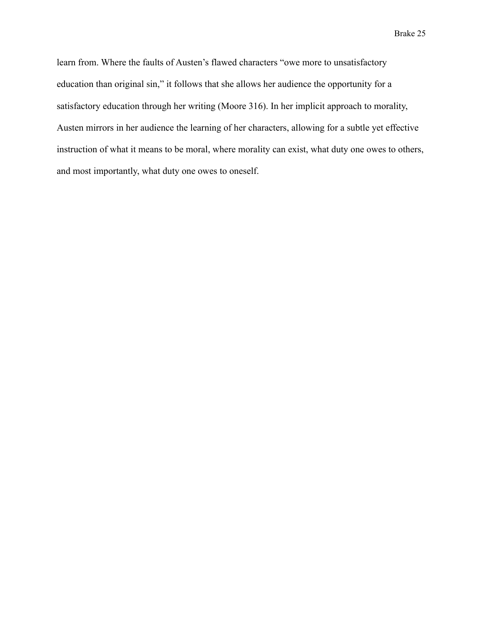learn from. Where the faults of Austen's flawed characters "owe more to unsatisfactory education than original sin," it follows that she allows her audience the opportunity for a satisfactory education through her writing (Moore 316). In her implicit approach to morality, Austen mirrors in her audience the learning of her characters, allowing for a subtle yet effective instruction of what it means to be moral, where morality can exist, what duty one owes to others, and most importantly, what duty one owes to oneself.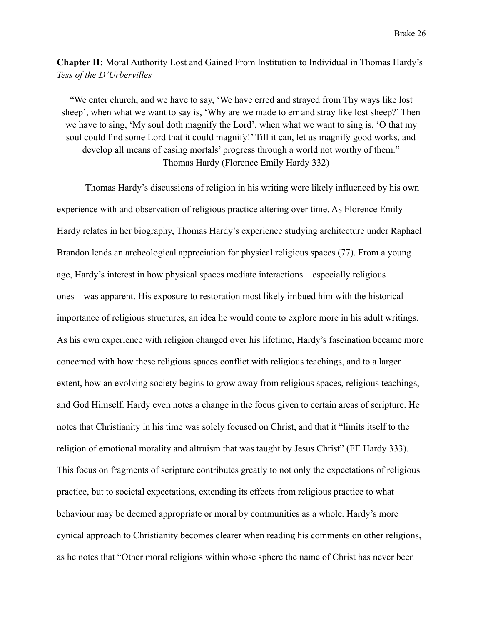**Chapter II:** Moral Authority Lost and Gained From Institution to Individual in Thomas Hardy's *Tess of the D'Urbervilles*

"We enter church, and we have to say, 'We have erred and strayed from Thy ways like lost sheep', when what we want to say is, 'Why are we made to err and stray like lost sheep?' Then we have to sing, 'My soul doth magnify the Lord', when what we want to sing is, 'O that my soul could find some Lord that it could magnify!' Till it can, let us magnify good works, and develop all means of easing mortals' progress through a world not worthy of them." —Thomas Hardy (Florence Emily Hardy 332)

Thomas Hardy's discussions of religion in his writing were likely influenced by his own experience with and observation of religious practice altering over time. As Florence Emily Hardy relates in her biography, Thomas Hardy's experience studying architecture under Raphael Brandon lends an archeological appreciation for physical religious spaces (77). From a young age, Hardy's interest in how physical spaces mediate interactions—especially religious ones—was apparent. His exposure to restoration most likely imbued him with the historical importance of religious structures, an idea he would come to explore more in his adult writings. As his own experience with religion changed over his lifetime, Hardy's fascination became more concerned with how these religious spaces conflict with religious teachings, and to a larger extent, how an evolving society begins to grow away from religious spaces, religious teachings, and God Himself. Hardy even notes a change in the focus given to certain areas of scripture. He notes that Christianity in his time was solely focused on Christ, and that it "limits itself to the religion of emotional morality and altruism that was taught by Jesus Christ" (FE Hardy 333). This focus on fragments of scripture contributes greatly to not only the expectations of religious practice, but to societal expectations, extending its effects from religious practice to what behaviour may be deemed appropriate or moral by communities as a whole. Hardy's more cynical approach to Christianity becomes clearer when reading his comments on other religions, as he notes that "Other moral religions within whose sphere the name of Christ has never been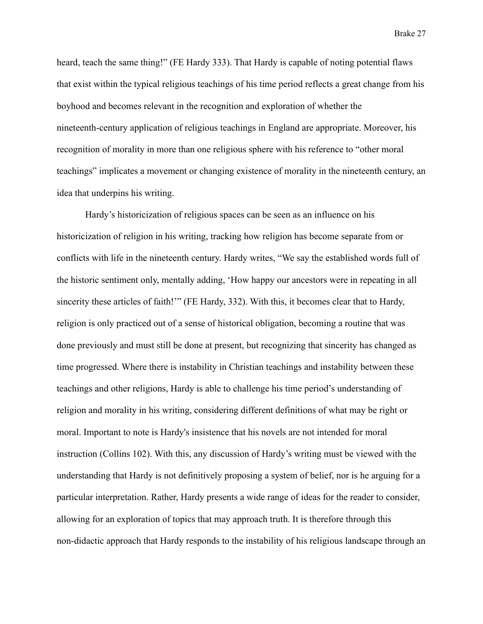heard, teach the same thing!" (FE Hardy 333). That Hardy is capable of noting potential flaws that exist within the typical religious teachings of his time period reflects a great change from his boyhood and becomes relevant in the recognition and exploration of whether the nineteenth-century application of religious teachings in England are appropriate. Moreover, his recognition of morality in more than one religious sphere with his reference to "other moral teachings" implicates a movement or changing existence of morality in the nineteenth century, an idea that underpins his writing.

Hardy's historicization of religious spaces can be seen as an influence on his historicization of religion in his writing, tracking how religion has become separate from or conflicts with life in the nineteenth century. Hardy writes, "We say the established words full of the historic sentiment only, mentally adding, 'How happy our ancestors were in repeating in all sincerity these articles of faith!"" (FE Hardy, 332). With this, it becomes clear that to Hardy, religion is only practiced out of a sense of historical obligation, becoming a routine that was done previously and must still be done at present, but recognizing that sincerity has changed as time progressed. Where there is instability in Christian teachings and instability between these teachings and other religions, Hardy is able to challenge his time period's understanding of religion and morality in his writing, considering different definitions of what may be right or moral. Important to note is Hardy's insistence that his novels are not intended for moral instruction (Collins 102). With this, any discussion of Hardy's writing must be viewed with the understanding that Hardy is not definitively proposing a system of belief, nor is he arguing for a particular interpretation. Rather, Hardy presents a wide range of ideas for the reader to consider, allowing for an exploration of topics that may approach truth. It is therefore through this non-didactic approach that Hardy responds to the instability of his religious landscape through an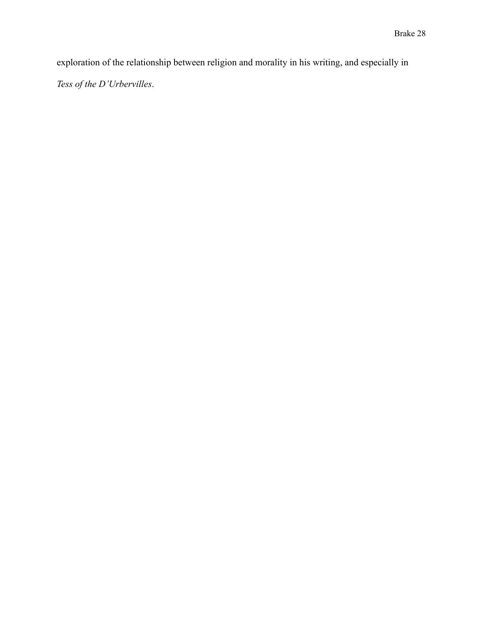exploration of the relationship between religion and morality in his writing, and especially in

*Tess of the D'Urbervilles*.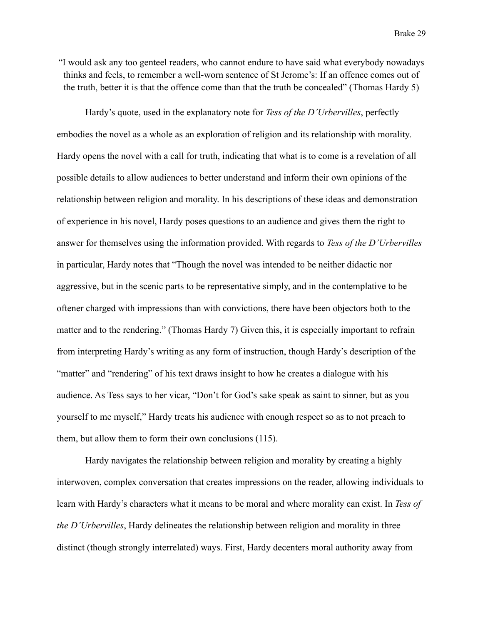"I would ask any too genteel readers, who cannot endure to have said what everybody nowadays thinks and feels, to remember a well-worn sentence of St Jerome's: If an offence comes out of the truth, better it is that the offence come than that the truth be concealed" (Thomas Hardy 5)

Hardy's quote, used in the explanatory note for *Tess of the D'Urbervilles*, perfectly embodies the novel as a whole as an exploration of religion and its relationship with morality. Hardy opens the novel with a call for truth, indicating that what is to come is a revelation of all possible details to allow audiences to better understand and inform their own opinions of the relationship between religion and morality. In his descriptions of these ideas and demonstration of experience in his novel, Hardy poses questions to an audience and gives them the right to answer for themselves using the information provided. With regards to *Tess of the D'Urbervilles* in particular, Hardy notes that "Though the novel was intended to be neither didactic nor aggressive, but in the scenic parts to be representative simply, and in the contemplative to be oftener charged with impressions than with convictions, there have been objectors both to the matter and to the rendering." (Thomas Hardy 7) Given this, it is especially important to refrain from interpreting Hardy's writing as any form of instruction, though Hardy's description of the "matter" and "rendering" of his text draws insight to how he creates a dialogue with his audience. As Tess says to her vicar, "Don't for God's sake speak as saint to sinner, but as you yourself to me myself," Hardy treats his audience with enough respect so as to not preach to them, but allow them to form their own conclusions (115).

Hardy navigates the relationship between religion and morality by creating a highly interwoven, complex conversation that creates impressions on the reader, allowing individuals to learn with Hardy's characters what it means to be moral and where morality can exist. In *Tess of the D'Urbervilles*, Hardy delineates the relationship between religion and morality in three distinct (though strongly interrelated) ways. First, Hardy decenters moral authority away from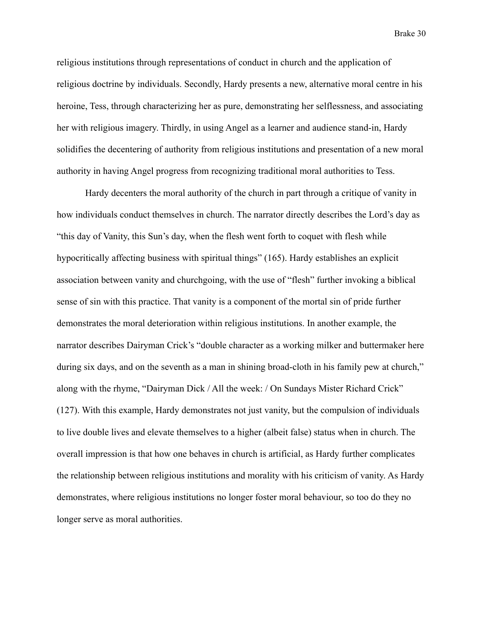religious institutions through representations of conduct in church and the application of religious doctrine by individuals. Secondly, Hardy presents a new, alternative moral centre in his heroine, Tess, through characterizing her as pure, demonstrating her selflessness, and associating her with religious imagery. Thirdly, in using Angel as a learner and audience stand-in, Hardy solidifies the decentering of authority from religious institutions and presentation of a new moral authority in having Angel progress from recognizing traditional moral authorities to Tess.

Hardy decenters the moral authority of the church in part through a critique of vanity in how individuals conduct themselves in church. The narrator directly describes the Lord's day as "this day of Vanity, this Sun's day, when the flesh went forth to coquet with flesh while hypocritically affecting business with spiritual things" (165). Hardy establishes an explicit association between vanity and churchgoing, with the use of "flesh" further invoking a biblical sense of sin with this practice. That vanity is a component of the mortal sin of pride further demonstrates the moral deterioration within religious institutions. In another example, the narrator describes Dairyman Crick's "double character as a working milker and buttermaker here during six days, and on the seventh as a man in shining broad-cloth in his family pew at church," along with the rhyme, "Dairyman Dick / All the week: / On Sundays Mister Richard Crick" (127). With this example, Hardy demonstrates not just vanity, but the compulsion of individuals to live double lives and elevate themselves to a higher (albeit false) status when in church. The overall impression is that how one behaves in church is artificial, as Hardy further complicates the relationship between religious institutions and morality with his criticism of vanity. As Hardy demonstrates, where religious institutions no longer foster moral behaviour, so too do they no longer serve as moral authorities.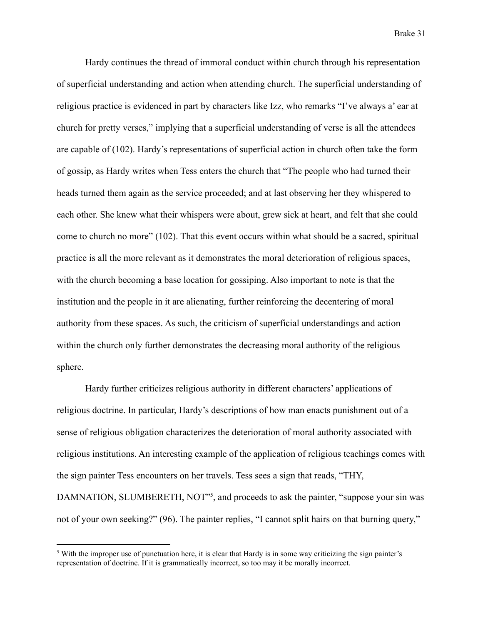Hardy continues the thread of immoral conduct within church through his representation of superficial understanding and action when attending church. The superficial understanding of religious practice is evidenced in part by characters like Izz, who remarks "I've always a' ear at church for pretty verses," implying that a superficial understanding of verse is all the attendees are capable of (102). Hardy's representations of superficial action in church often take the form of gossip, as Hardy writes when Tess enters the church that "The people who had turned their heads turned them again as the service proceeded; and at last observing her they whispered to each other. She knew what their whispers were about, grew sick at heart, and felt that she could come to church no more" (102). That this event occurs within what should be a sacred, spiritual practice is all the more relevant as it demonstrates the moral deterioration of religious spaces, with the church becoming a base location for gossiping. Also important to note is that the institution and the people in it are alienating, further reinforcing the decentering of moral authority from these spaces. As such, the criticism of superficial understandings and action within the church only further demonstrates the decreasing moral authority of the religious sphere.

Hardy further criticizes religious authority in different characters' applications of religious doctrine. In particular, Hardy's descriptions of how man enacts punishment out of a sense of religious obligation characterizes the deterioration of moral authority associated with religious institutions. An interesting example of the application of religious teachings comes with the sign painter Tess encounters on her travels. Tess sees a sign that reads, "THY, DAMNATION, SLUMBERETH, NOT<sup>35</sup>, and proceeds to ask the painter, "suppose your sin was not of your own seeking?" (96). The painter replies, "I cannot split hairs on that burning query,"

<sup>&</sup>lt;sup>5</sup> With the improper use of punctuation here, it is clear that Hardy is in some way criticizing the sign painter's representation of doctrine. If it is grammatically incorrect, so too may it be morally incorrect.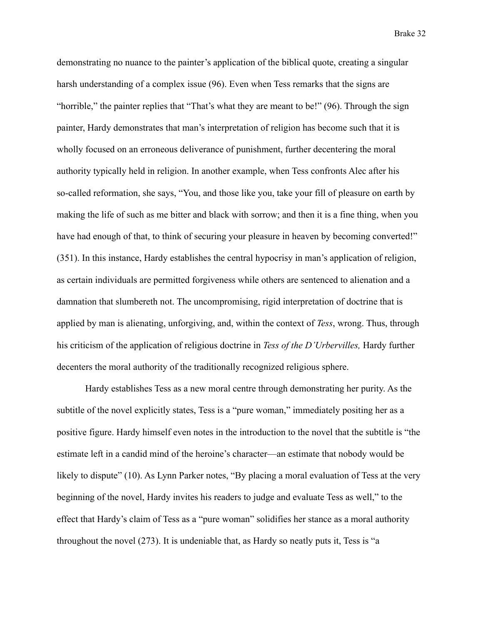demonstrating no nuance to the painter's application of the biblical quote, creating a singular harsh understanding of a complex issue (96). Even when Tess remarks that the signs are "horrible," the painter replies that "That's what they are meant to be!" (96). Through the sign painter, Hardy demonstrates that man's interpretation of religion has become such that it is wholly focused on an erroneous deliverance of punishment, further decentering the moral authority typically held in religion. In another example, when Tess confronts Alec after his so-called reformation, she says, "You, and those like you, take your fill of pleasure on earth by making the life of such as me bitter and black with sorrow; and then it is a fine thing, when you have had enough of that, to think of securing your pleasure in heaven by becoming converted!" (351). In this instance, Hardy establishes the central hypocrisy in man's application of religion, as certain individuals are permitted forgiveness while others are sentenced to alienation and a damnation that slumbereth not. The uncompromising, rigid interpretation of doctrine that is applied by man is alienating, unforgiving, and, within the context of *Tess*, wrong. Thus, through his criticism of the application of religious doctrine in *Tess of the D'Urbervilles,* Hardy further decenters the moral authority of the traditionally recognized religious sphere.

Hardy establishes Tess as a new moral centre through demonstrating her purity. As the subtitle of the novel explicitly states, Tess is a "pure woman," immediately positing her as a positive figure. Hardy himself even notes in the introduction to the novel that the subtitle is "the estimate left in a candid mind of the heroine's character—an estimate that nobody would be likely to dispute" (10). As Lynn Parker notes, "By placing a moral evaluation of Tess at the very beginning of the novel, Hardy invites his readers to judge and evaluate Tess as well," to the effect that Hardy's claim of Tess as a "pure woman" solidifies her stance as a moral authority throughout the novel (273). It is undeniable that, as Hardy so neatly puts it, Tess is "a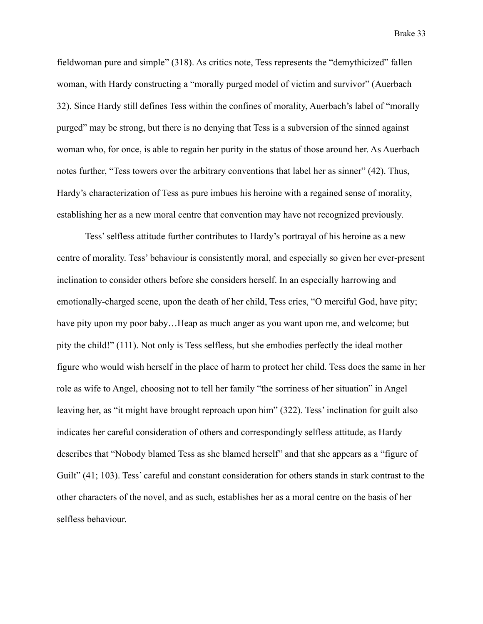fieldwoman pure and simple" (318). As critics note, Tess represents the "demythicized" fallen woman, with Hardy constructing a "morally purged model of victim and survivor" (Auerbach 32). Since Hardy still defines Tess within the confines of morality, Auerbach's label of "morally purged" may be strong, but there is no denying that Tess is a subversion of the sinned against woman who, for once, is able to regain her purity in the status of those around her. As Auerbach notes further, "Tess towers over the arbitrary conventions that label her as sinner" (42). Thus, Hardy's characterization of Tess as pure imbues his heroine with a regained sense of morality, establishing her as a new moral centre that convention may have not recognized previously.

Tess' selfless attitude further contributes to Hardy's portrayal of his heroine as a new centre of morality. Tess' behaviour is consistently moral, and especially so given her ever-present inclination to consider others before she considers herself. In an especially harrowing and emotionally-charged scene, upon the death of her child, Tess cries, "O merciful God, have pity; have pity upon my poor baby...Heap as much anger as you want upon me, and welcome; but pity the child!" (111). Not only is Tess selfless, but she embodies perfectly the ideal mother figure who would wish herself in the place of harm to protect her child. Tess does the same in her role as wife to Angel, choosing not to tell her family "the sorriness of her situation" in Angel leaving her, as "it might have brought reproach upon him" (322). Tess' inclination for guilt also indicates her careful consideration of others and correspondingly selfless attitude, as Hardy describes that "Nobody blamed Tess as she blamed herself" and that she appears as a "figure of Guilt" (41; 103). Tess' careful and constant consideration for others stands in stark contrast to the other characters of the novel, and as such, establishes her as a moral centre on the basis of her selfless behaviour.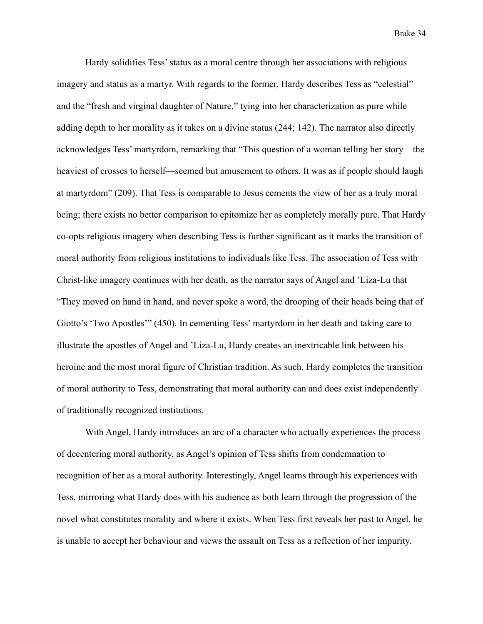Hardy solidifies Tess' status as a moral centre through her associations with religious imagery and status as a martyr. With regards to the former, Hardy describes Tess as "celestial" and the "fresh and virginal daughter of Nature," tying into her characterization as pure while adding depth to her morality as it takes on a divine status (244; 142). The narrator also directly acknowledges Tess' martyrdom, remarking that "This question of a woman telling her story—the heaviest of crosses to herself—seemed but amusement to others. It was as if people should laugh at martyrdom" (209). That Tess is comparable to Jesus cements the view of her as a truly moral being; there exists no better comparison to epitomize her as completely morally pure. That Hardy co-opts religious imagery when describing Tess is further significant as it marks the transition of moral authority from religious institutions to individuals like Tess. The association of Tess with Christ-like imagery continues with her death, as the narrator says of Angel and 'Liza-Lu that "They moved on hand in hand, and never spoke a word, the drooping of their heads being that of Giotto's 'Two Apostles'" (450). In cementing Tess' martyrdom in her death and taking care to illustrate the apostles of Angel and 'Liza-Lu, Hardy creates an inextricable link between his heroine and the most moral figure of Christian tradition. As such, Hardy completes the transition of moral authority to Tess, demonstrating that moral authority can and does exist independently of traditionally recognized institutions.

With Angel, Hardy introduces an arc of a character who actually experiences the process of decentering moral authority, as Angel's opinion of Tess shifts from condemnation to recognition of her as a moral authority. Interestingly, Angel learns through his experiences with Tess, mirroring what Hardy does with his audience as both learn through the progression of the novel what constitutes morality and where it exists. When Tess first reveals her past to Angel, he is unable to accept her behaviour and views the assault on Tess as a reflection of her impurity.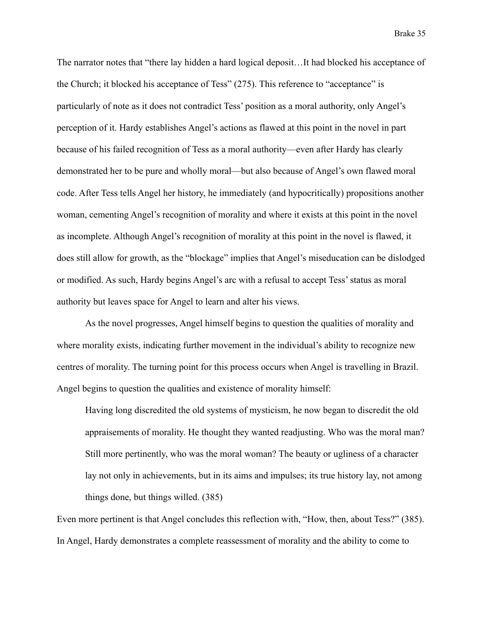The narrator notes that "there lay hidden a hard logical deposit…It had blocked his acceptance of the Church; it blocked his acceptance of Tess" (275). This reference to "acceptance" is particularly of note as it does not contradict Tess' position as a moral authority, only Angel's perception of it. Hardy establishes Angel's actions as flawed at this point in the novel in part because of his failed recognition of Tess as a moral authority—even after Hardy has clearly demonstrated her to be pure and wholly moral—but also because of Angel's own flawed moral code. After Tess tells Angel her history, he immediately (and hypocritically) propositions another woman, cementing Angel's recognition of morality and where it exists at this point in the novel as incomplete. Although Angel's recognition of morality at this point in the novel is flawed, it does still allow for growth, as the "blockage" implies that Angel's miseducation can be dislodged or modified. As such, Hardy begins Angel's arc with a refusal to accept Tess' status as moral authority but leaves space for Angel to learn and alter his views.

As the novel progresses, Angel himself begins to question the qualities of morality and where morality exists, indicating further movement in the individual's ability to recognize new centres of morality. The turning point for this process occurs when Angel is travelling in Brazil. Angel begins to question the qualities and existence of morality himself:

Having long discredited the old systems of mysticism, he now began to discredit the old appraisements of morality. He thought they wanted readjusting. Who was the moral man? Still more pertinently, who was the moral woman? The beauty or ugliness of a character lay not only in achievements, but in its aims and impulses; its true history lay, not among things done, but things willed. (385)

Even more pertinent is that Angel concludes this reflection with, "How, then, about Tess?" (385). In Angel, Hardy demonstrates a complete reassessment of morality and the ability to come to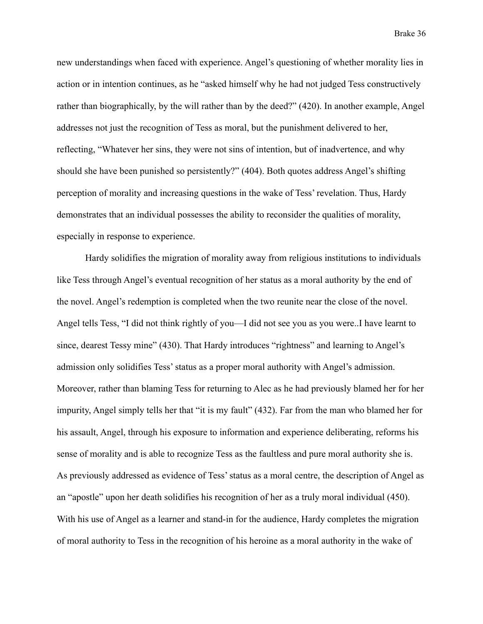new understandings when faced with experience. Angel's questioning of whether morality lies in action or in intention continues, as he "asked himself why he had not judged Tess constructively rather than biographically, by the will rather than by the deed?" (420). In another example, Angel addresses not just the recognition of Tess as moral, but the punishment delivered to her, reflecting, "Whatever her sins, they were not sins of intention, but of inadvertence, and why should she have been punished so persistently?" (404). Both quotes address Angel's shifting perception of morality and increasing questions in the wake of Tess' revelation. Thus, Hardy demonstrates that an individual possesses the ability to reconsider the qualities of morality, especially in response to experience.

Hardy solidifies the migration of morality away from religious institutions to individuals like Tess through Angel's eventual recognition of her status as a moral authority by the end of the novel. Angel's redemption is completed when the two reunite near the close of the novel. Angel tells Tess, "I did not think rightly of you—I did not see you as you were..I have learnt to since, dearest Tessy mine" (430). That Hardy introduces "rightness" and learning to Angel's admission only solidifies Tess' status as a proper moral authority with Angel's admission. Moreover, rather than blaming Tess for returning to Alec as he had previously blamed her for her impurity, Angel simply tells her that "it is my fault" (432). Far from the man who blamed her for his assault, Angel, through his exposure to information and experience deliberating, reforms his sense of morality and is able to recognize Tess as the faultless and pure moral authority she is. As previously addressed as evidence of Tess' status as a moral centre, the description of Angel as an "apostle" upon her death solidifies his recognition of her as a truly moral individual (450). With his use of Angel as a learner and stand-in for the audience, Hardy completes the migration of moral authority to Tess in the recognition of his heroine as a moral authority in the wake of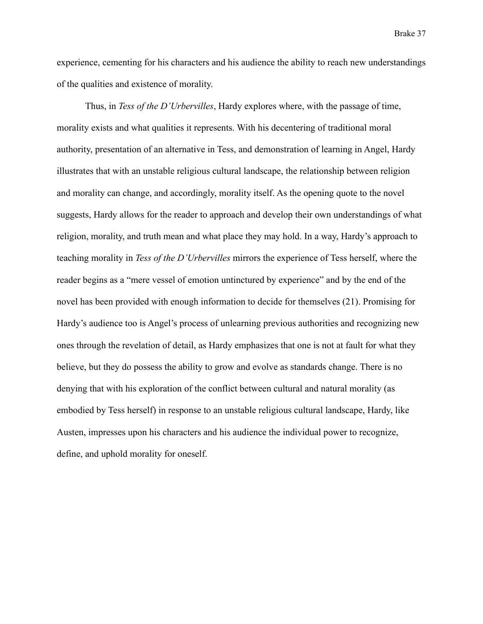experience, cementing for his characters and his audience the ability to reach new understandings of the qualities and existence of morality.

Thus, in *Tess of the D'Urbervilles*, Hardy explores where, with the passage of time, morality exists and what qualities it represents. With his decentering of traditional moral authority, presentation of an alternative in Tess, and demonstration of learning in Angel, Hardy illustrates that with an unstable religious cultural landscape, the relationship between religion and morality can change, and accordingly, morality itself. As the opening quote to the novel suggests, Hardy allows for the reader to approach and develop their own understandings of what religion, morality, and truth mean and what place they may hold. In a way, Hardy's approach to teaching morality in *Tess of the D'Urbervilles* mirrors the experience of Tess herself, where the reader begins as a "mere vessel of emotion untinctured by experience" and by the end of the novel has been provided with enough information to decide for themselves (21). Promising for Hardy's audience too is Angel's process of unlearning previous authorities and recognizing new ones through the revelation of detail, as Hardy emphasizes that one is not at fault for what they believe, but they do possess the ability to grow and evolve as standards change. There is no denying that with his exploration of the conflict between cultural and natural morality (as embodied by Tess herself) in response to an unstable religious cultural landscape, Hardy, like Austen, impresses upon his characters and his audience the individual power to recognize, define, and uphold morality for oneself.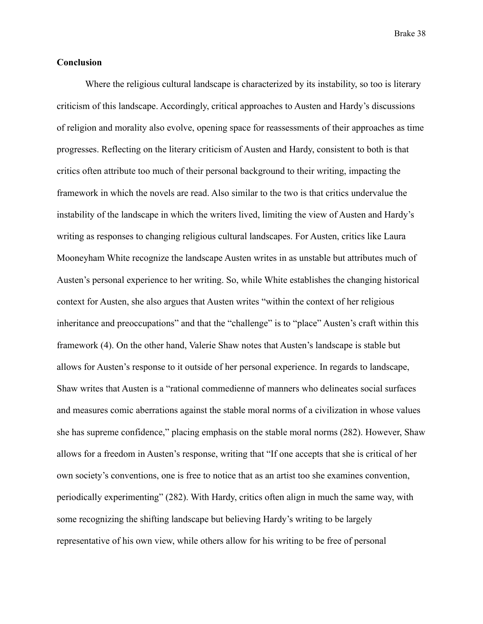### **Conclusion**

Where the religious cultural landscape is characterized by its instability, so too is literary criticism of this landscape. Accordingly, critical approaches to Austen and Hardy's discussions of religion and morality also evolve, opening space for reassessments of their approaches as time progresses. Reflecting on the literary criticism of Austen and Hardy, consistent to both is that critics often attribute too much of their personal background to their writing, impacting the framework in which the novels are read. Also similar to the two is that critics undervalue the instability of the landscape in which the writers lived, limiting the view of Austen and Hardy's writing as responses to changing religious cultural landscapes. For Austen, critics like Laura Mooneyham White recognize the landscape Austen writes in as unstable but attributes much of Austen's personal experience to her writing. So, while White establishes the changing historical context for Austen, she also argues that Austen writes "within the context of her religious inheritance and preoccupations" and that the "challenge" is to "place" Austen's craft within this framework (4). On the other hand, Valerie Shaw notes that Austen's landscape is stable but allows for Austen's response to it outside of her personal experience. In regards to landscape, Shaw writes that Austen is a "rational commedienne of manners who delineates social surfaces and measures comic aberrations against the stable moral norms of a civilization in whose values she has supreme confidence," placing emphasis on the stable moral norms (282). However, Shaw allows for a freedom in Austen's response, writing that "If one accepts that she is critical of her own society's conventions, one is free to notice that as an artist too she examines convention, periodically experimenting" (282). With Hardy, critics often align in much the same way, with some recognizing the shifting landscape but believing Hardy's writing to be largely representative of his own view, while others allow for his writing to be free of personal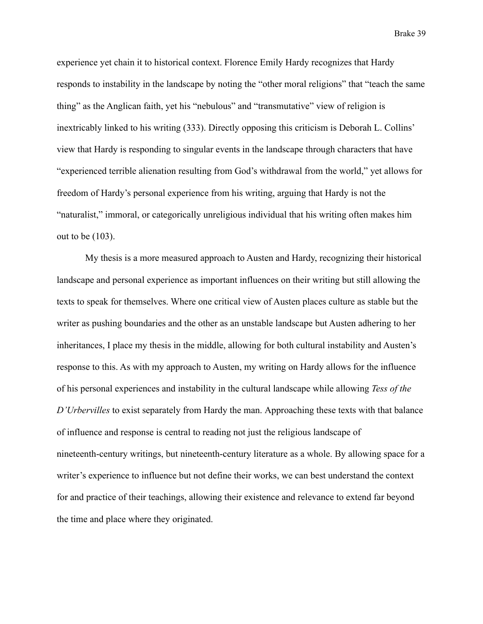experience yet chain it to historical context. Florence Emily Hardy recognizes that Hardy responds to instability in the landscape by noting the "other moral religions" that "teach the same thing" as the Anglican faith, yet his "nebulous" and "transmutative" view of religion is inextricably linked to his writing (333). Directly opposing this criticism is Deborah L. Collins' view that Hardy is responding to singular events in the landscape through characters that have "experienced terrible alienation resulting from God's withdrawal from the world," yet allows for freedom of Hardy's personal experience from his writing, arguing that Hardy is not the "naturalist," immoral, or categorically unreligious individual that his writing often makes him out to be (103).

My thesis is a more measured approach to Austen and Hardy, recognizing their historical landscape and personal experience as important influences on their writing but still allowing the texts to speak for themselves. Where one critical view of Austen places culture as stable but the writer as pushing boundaries and the other as an unstable landscape but Austen adhering to her inheritances, I place my thesis in the middle, allowing for both cultural instability and Austen's response to this. As with my approach to Austen, my writing on Hardy allows for the influence of his personal experiences and instability in the cultural landscape while allowing *Tess of the D'Urbervilles* to exist separately from Hardy the man. Approaching these texts with that balance of influence and response is central to reading not just the religious landscape of nineteenth-century writings, but nineteenth-century literature as a whole. By allowing space for a writer's experience to influence but not define their works, we can best understand the context for and practice of their teachings, allowing their existence and relevance to extend far beyond the time and place where they originated.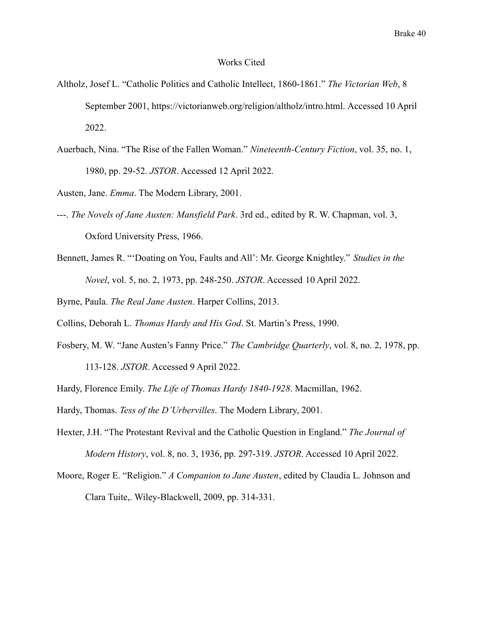#### Works Cited

- Altholz, Josef L. "Catholic Politics and Catholic Intellect, 1860-1861." *The Victorian Web*, 8 September 2001, [https://victorianweb.org/religion/altholz/intro.htm](https://victorianweb.org/religion/altholz/intro.html)l. Accessed 10 April 2022.
- Auerbach, Nina. "The Rise of the Fallen Woman." *Nineteenth-Century Fiction*, vol. 35, no. 1, 1980, pp. 29-52. *JSTOR*. Accessed 12 April 2022.

Austen, Jane. *Emma*. The Modern Library, 2001.

- ---. *The Novels of Jane Austen: Mansfield Park*. 3rd ed., edited by R. W. Chapman, vol. 3, Oxford University Press, 1966.
- Bennett, James R. "'Doating on You, Faults and All': Mr. George Knightley." *Studies in the Novel*, vol. 5, no. 2, 1973, pp. 248-250. *JSTOR*. Accessed 10 April 2022.

Byrne, Paula. *The Real Jane Austen*. Harper Collins, 2013.

Collins, Deborah L. *Thomas Hardy and His God*. St. Martin's Press, 1990.

- Fosbery, M. W. "Jane Austen's Fanny Price." *The Cambridge Quarterly*, vol. 8, no. 2, 1978, pp. 113-128. *JSTOR*. Accessed 9 April 2022.
- Hardy, Florence Emily. *The Life of Thomas Hardy 1840-1928*. Macmillan, 1962.
- Hardy, Thomas. *Tess of the D'Urbervilles*. The Modern Library, 2001.
- Hexter, J.H. "The Protestant Revival and the Catholic Question in England." *The Journal of Modern History*, vol. 8, no. 3, 1936, pp. 297-319. *JSTOR*. Accessed 10 April 2022.
- Moore, Roger E. "Religion." *A Companion to Jane Austen*, edited by Claudia L. Johnson and Clara Tuite,. Wiley-Blackwell, 2009, pp. 314-331.